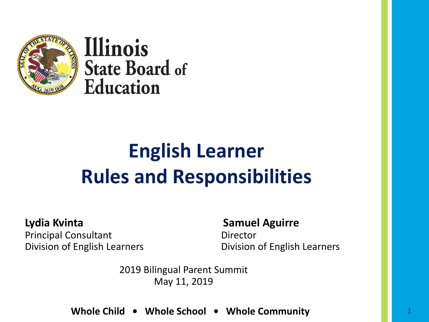

Illinois **State Board of Education** 

## **English Learner Rules and Responsibilities**

**Lydia Kvinta Samuel Aguirre** Principal Consultant **Director** 

Division of English Learners Division of English Learners

2019 Bilingual Parent Summit May 11, 2019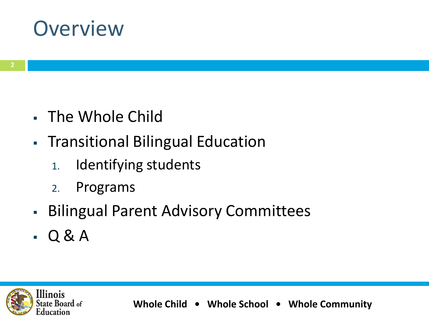## **Overview**

- The Whole Child
- **Transitional Bilingual Education** 
	- 1. Identifying students
	- 2. Programs
- **Bilingual Parent Advisory Committees**
- $-Q & A$

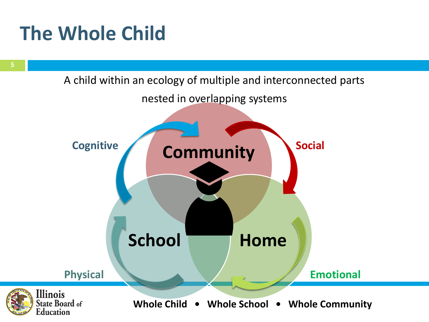## **The Whole Child**



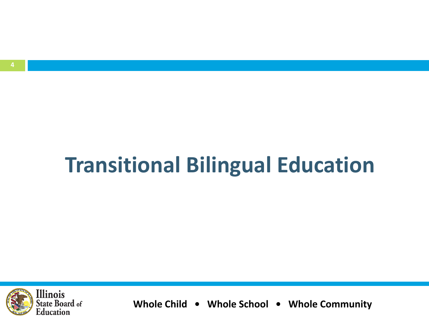## **Transitional Bilingual Education**

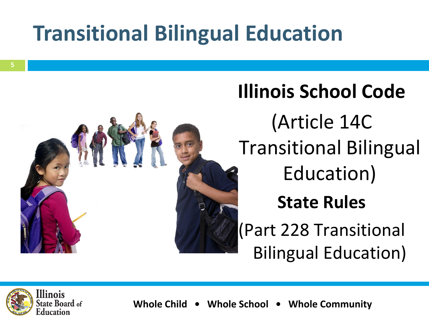## **Transitional Bilingual Education**



# **Illinois School Code** (Article 14C Transitional Bilingual Education) **State Rules**  (Part 228 Transitional Bilingual Education)

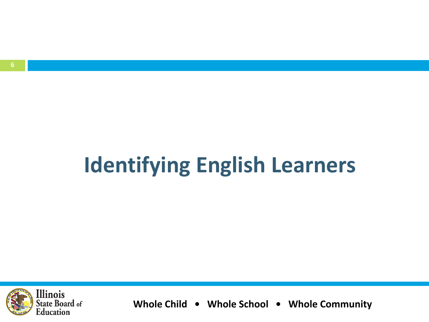# **Identifying English Learners**

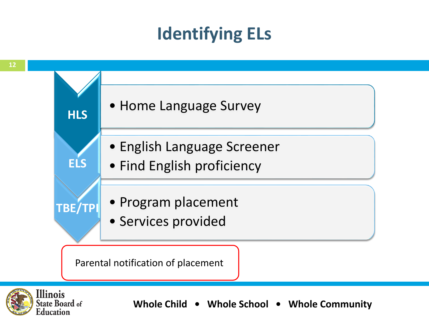#### **Identifying ELs**



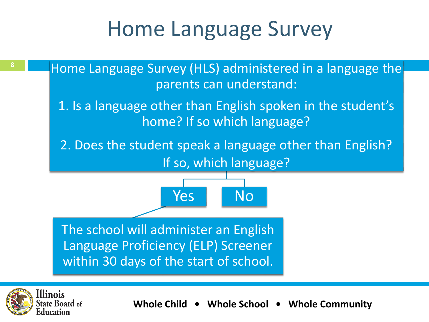## Home Language Survey

**8 Huma** Home Language Survey (HLS) administered in a language the parents can understand: 1. Is a language other than English spoken in the student's home? If so which language? 2. Does the student speak a language other than English? If so, which language? Yes The school will administer an English Language Proficiency (ELP) Screener within 30 days of the start of school. No

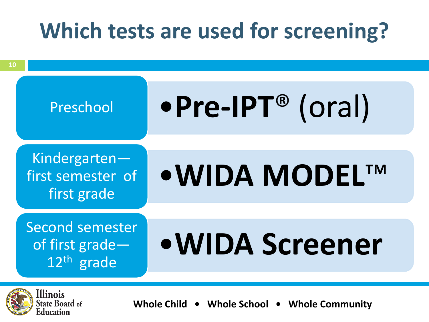## **Which tests are used for screening?**



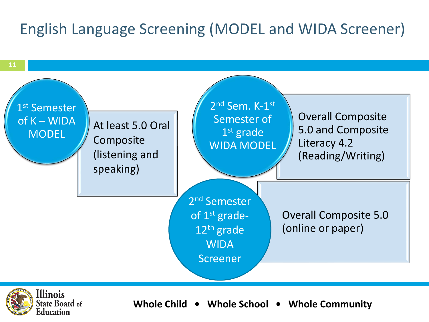#### English Language Screening (MODEL and WIDA Screener)



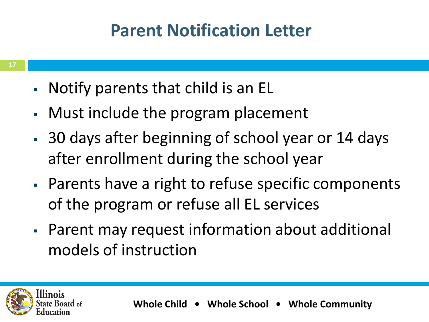### **Parent Notification Letter**

- **17**
- Notify parents that child is an EL
- Must include the program placement
- 30 days after beginning of school year or 14 days after enrollment during the school year
- Parents have a right to refuse specific components of the program or refuse all EL services
- Parent may request information about additional models of instruction

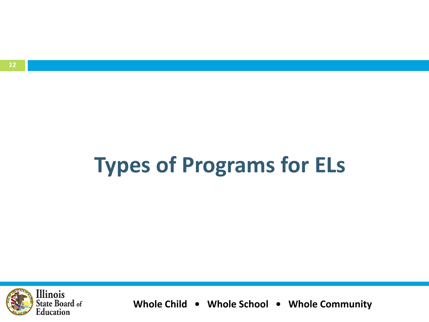#### **12**

# **Types of Programs for ELs**

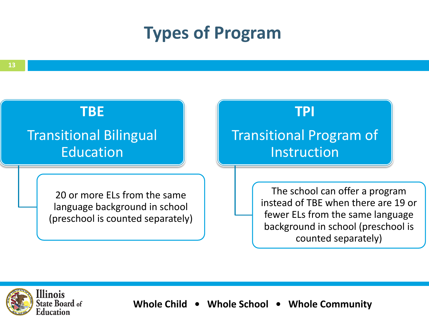#### **Types of Program**



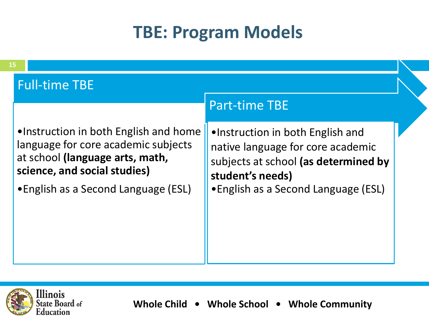#### **TBE: Program Models**



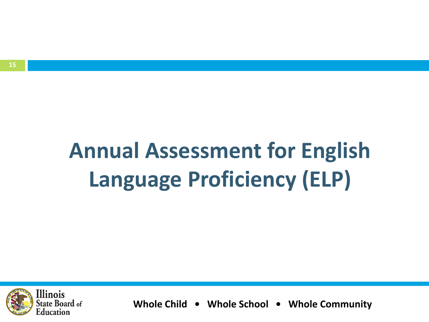# **Annual Assessment for English Language Proficiency (ELP)**

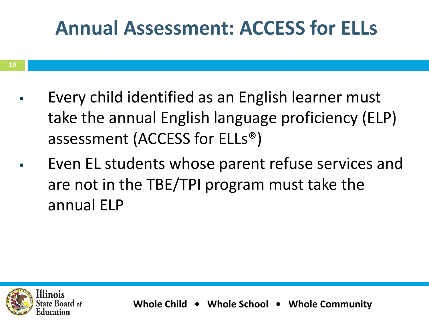## **Annual Assessment: ACCESS for ELLs**

- Every child identified as an English learner must take the annual English language proficiency (ELP) assessment (ACCESS for ELLs®)
- Even EL students whose parent refuse services and are not in the TBE/TPI program must take the annual ELP

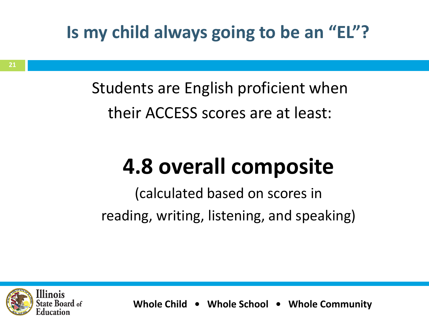### **Is my child always going to be an "EL"?**

Students are English proficient when their ACCESS scores are at least:

## **4.8 overall composite**

(calculated based on scores in reading, writing, listening, and speaking)

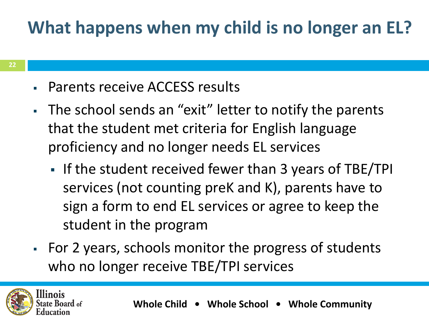## **What happens when my child is no longer an EL?**

- Parents receive ACCESS results
- The school sends an "exit" letter to notify the parents that the student met criteria for English language proficiency and no longer needs EL services
	- If the student received fewer than 3 years of TBE/TPI services (not counting preK and K), parents have to sign a form to end EL services or agree to keep the student in the program
- For 2 years, schools monitor the progress of students who no longer receive TBE/TPI services

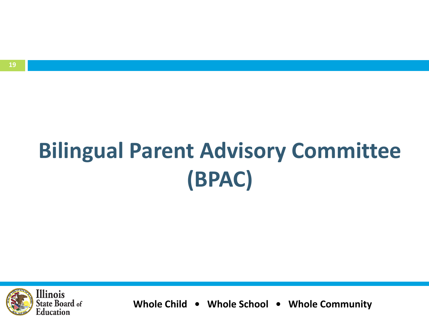# **Bilingual Parent Advisory Committee (BPAC)**

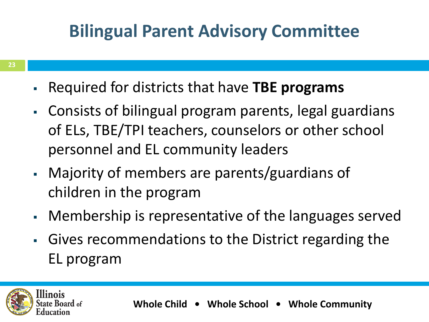## **Bilingual Parent Advisory Committee**

- Required for districts that have **TBE programs**
- Consists of bilingual program parents, legal guardians of ELs, TBE/TPI teachers, counselors or other school personnel and EL community leaders
- Majority of members are parents/guardians of children in the program
- Membership is representative of the languages served
- Gives recommendations to the District regarding the EL program

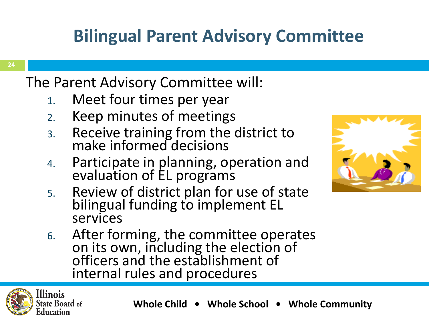## **Bilingual Parent Advisory Committee**

#### **24**

The Parent Advisory Committee will:

- 1. Meet four times per year
- 2. Keep minutes of meetings
- 3. Receive training from the district to make informed decisions
- 4. Participate in planning, operation and evaluation of EL programs
- 5. Review of district plan for use of state bilingual funding to implement EL services
- 6. After forming, the committee operates on its own, including the election of officers and the establishment of internal rules and procedures



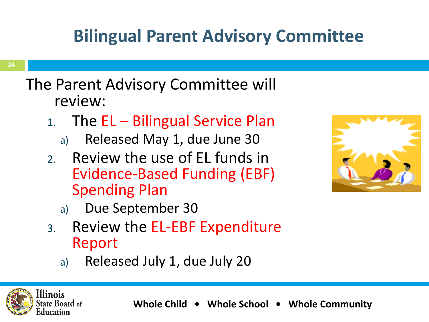## **Bilingual Parent Advisory Committee**

#### The Parent Advisory Committee will review:

- 1. The EL Bilingual Service Plan
	- a) Released May 1, due June 30
- 2. Review the use of EL funds in Evidence-Based Funding (EBF) Spending Plan



- a) Due September 30
- 3. Review the EL-EBF Expenditure Report
	- a) Released July 1, due July 20

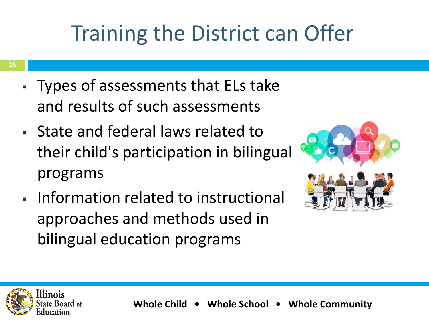## Training the District can Offer

- **25**
- Types of assessments that ELs take and results of such assessments
- State and federal laws related to their child's participation in bilingual programs
- Information related to instructional approaches and methods used in bilingual education programs



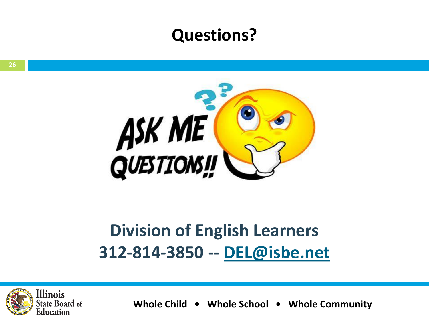#### **Questions?**



#### **Division of English Learners 312-814-3850 -- [DEL@isbe.net](mailto:DEL@isbe.net)**